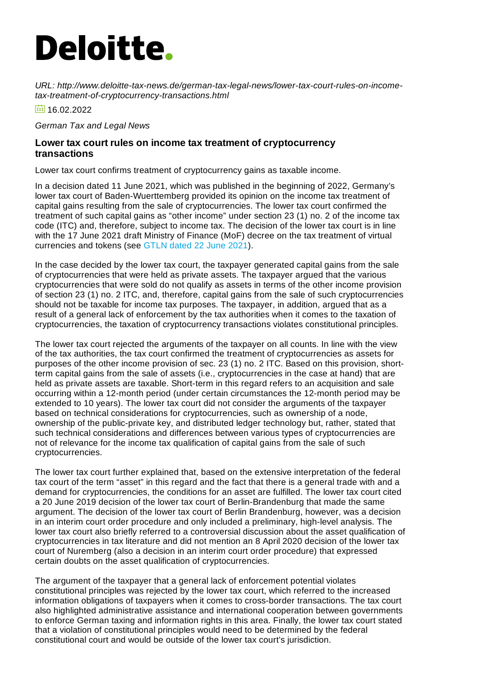## **Deloitte.**

*URL: http://www.deloitte-tax-news.de/german-tax-legal-news/lower-tax-court-rules-on-incometax-treatment-of-cryptocurrency-transactions.html*

 $\frac{1}{101}$  16.02.2022

*German Tax and Legal News*

## **Lower tax court rules on income tax treatment of cryptocurrency transactions**

Lower tax court confirms treatment of cryptocurrency gains as taxable income.

In a decision dated 11 June 2021, which was published in the beginning of 2022, Germany's lower tax court of Baden-Wuerttemberg provided its opinion on the income tax treatment of capital gains resulting from the sale of cryptocurrencies. The lower tax court confirmed the treatment of such capital gains as "other income" under section 23 (1) no. 2 of the income tax code (ITC) and, therefore, subject to income tax. The decision of the lower tax court is in line with the 17 June 2021 draft Ministry of Finance (MoF) decree on the tax treatment of virtual currencies and tokens (see [GTLN](https://www.deloitte-tax-news.de/german-tax-legal-news/mof-publishes-draft-decree-on-tax-treatment-of-virtual-currencies-and-tokens.html) dated 22 June 2021).

In the case decided by the lower tax court, the taxpayer generated capital gains from the sale of cryptocurrencies that were held as private assets. The taxpayer argued that the various cryptocurrencies that were sold do not qualify as assets in terms of the other income provision of section 23 (1) no. 2 ITC, and, therefore, capital gains from the sale of such cryptocurrencies should not be taxable for income tax purposes. The taxpayer, in addition, argued that as a result of a general lack of enforcement by the tax authorities when it comes to the taxation of cryptocurrencies, the taxation of cryptocurrency transactions violates constitutional principles.

The lower tax court rejected the arguments of the taxpayer on all counts. In line with the view of the tax authorities, the tax court confirmed the treatment of cryptocurrencies as assets for purposes of the other income provision of sec. 23 (1) no. 2 ITC. Based on this provision, shortterm capital gains from the sale of assets (i.e., cryptocurrencies in the case at hand) that are held as private assets are taxable. Short-term in this regard refers to an acquisition and sale occurring within a 12-month period (under certain circumstances the 12-month period may be extended to 10 years). The lower tax court did not consider the arguments of the taxpayer based on technical considerations for cryptocurrencies, such as ownership of a node, ownership of the public-private key, and distributed ledger technology but, rather, stated that such technical considerations and differences between various types of cryptocurrencies are not of relevance for the income tax qualification of capital gains from the sale of such cryptocurrencies.

The lower tax court further explained that, based on the extensive interpretation of the federal tax court of the term "asset" in this regard and the fact that there is a general trade with and a demand for cryptocurrencies, the conditions for an asset are fulfilled. The lower tax court cited a 20 June 2019 decision of the lower tax court of Berlin-Brandenburg that made the same argument. The decision of the lower tax court of Berlin Brandenburg, however, was a decision in an interim court order procedure and only included a preliminary, high-level analysis. The lower tax court also briefly referred to a controversial discussion about the asset qualification of cryptocurrencies in tax literature and did not mention an 8 April 2020 decision of the lower tax court of Nuremberg (also a decision in an interim court order procedure) that expressed certain doubts on the asset qualification of cryptocurrencies.

The argument of the taxpayer that a general lack of enforcement potential violates constitutional principles was rejected by the lower tax court, which referred to the increased information obligations of taxpayers when it comes to cross-border transactions. The tax court also highlighted administrative assistance and international cooperation between governments to enforce German taxing and information rights in this area. Finally, the lower tax court stated that a violation of constitutional principles would need to be determined by the federal constitutional court and would be outside of the lower tax court's jurisdiction.